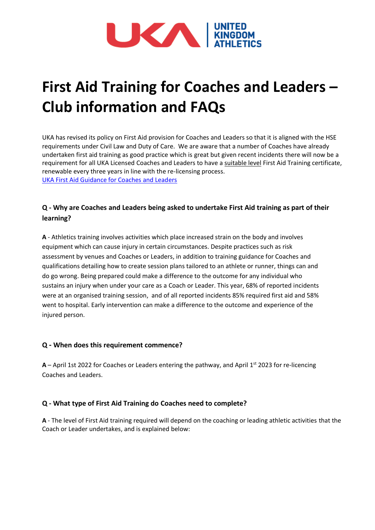

# **First Aid Training for Coaches and Leaders – Club information and FAQs**

UKA has revised its policy on First Aid provision for Coaches and Leaders so that it is aligned with the HSE requirements under Civil Law and Duty of Care. We are aware that a number of Coaches have already undertaken first aid training as good practice which is great but given recent incidents there will now be a requirement for all UKA Licensed Coaches and Leaders to have a suitable level First Aid Training certificate, renewable every three years in line with the re-licensing process. [UKA First Aid Guidance for Coaches and Leaders](https://www.uka.org.uk/wp-content/uploads/2021/12/First-Aid-Guidance-for-Coaches-and-Leaders-Final.pdf)

## **Q - Why are Coaches and Leaders being asked to undertake First Aid training as part of their learning?**

**A** - Athletics training involves activities which place increased strain on the body and involves equipment which can cause injury in certain circumstances. Despite practices such as risk assessment by venues and Coaches or Leaders, in addition to training guidance for Coaches and qualifications detailing how to create session plans tailored to an athlete or runner, things can and do go wrong. Being prepared could make a difference to the outcome for any individual who sustains an injury when under your care as a Coach or Leader. This year, 68% of reported incidents were at an organised training session, and of all reported incidents 85% required first aid and 58% went to hospital. Early intervention can make a difference to the outcome and experience of the injured person.

## **Q - When does this requirement commence?**

 $A$  – April 1st 2022 for Coaches or Leaders entering the pathway, and April 1st 2023 for re-licencing Coaches and Leaders.

## **Q - What type of First Aid Training do Coaches need to complete?**

**A** - The level of First Aid training required will depend on the coaching or leading athletic activities that the Coach or Leader undertakes, and is explained below: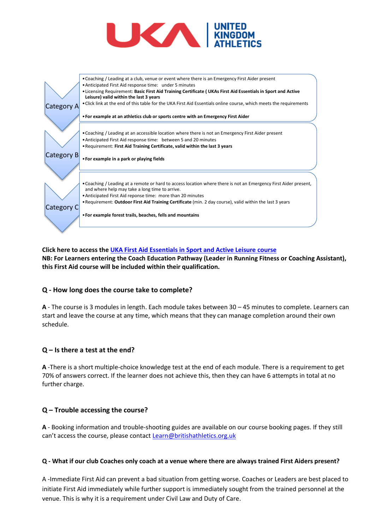



**Click here to access the [UKA First Aid Essentials in Sport and Active Leisure](https://www.athleticshub.co.uk/public/course-list/uka?what=First%20Aid%20Essentials%20in%20sport%20and%20Active%20Leisure) course NB: For Learners entering the Coach Education Pathway (Leader in Running Fitness or Coaching Assistant), this First Aid course will be included within their qualification.**

#### **Q - How long does the course take to complete?**

**A** - The course is 3 modules in length. Each module takes between 30 – 45 minutes to complete. Learners can start and leave the course at any time, which means that they can manage completion around their own schedule.

#### **Q – Is there a test at the end?**

**A** -There is a short multiple-choice knowledge test at the end of each module. There is a requirement to get 70% of answers correct. If the learner does not achieve this, then they can have 6 attempts in total at no further charge.

#### **Q – Trouble accessing the course?**

**A** - Booking information and trouble-shooting guides are available on our course booking pages. If they still can't access the course, please contact **[Learn@britishathletics.org.uk](mailto:Learn@britishathletics.org.uk)** 

#### **Q - What if our club Coaches only coach at a venue where there are always trained First Aiders present?**

A -Immediate First Aid can prevent a bad situation from getting worse. Coaches or Leaders are best placed to initiate First Aid immediately while further support is immediately sought from the trained personnel at the venue. This is why it is a requirement under Civil Law and Duty of Care.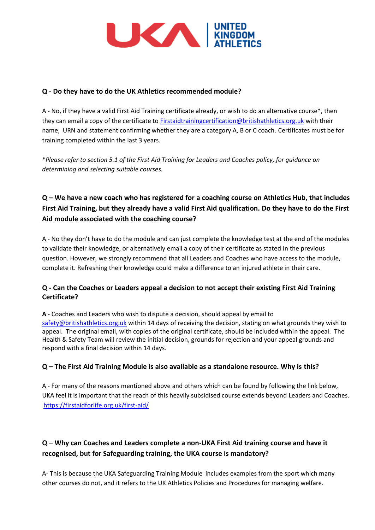

## **Q - Do they have to do the UK Athletics recommended module?**

A - No, if they have a valid First Aid Training certificate already, or wish to do an alternative course\*, then they can email a copy of the certificate to [Firstaidtrainingcertification@britishathletics.org.uk](mailto:Firstaidtrainingcertification@britishathletics.org.uk.org.uk) with their name, URN and statement confirming whether they are a category A, B or C coach. Certificates must be for training completed within the last 3 years.

\**Please refer to section 5.1 of the First Aid Training for Leaders and Coaches policy, for guidance on determining and selecting suitable courses.*

# **Q – We have a new coach who has registered for a coaching course on Athletics Hub, that includes First Aid Training, but they already have a valid First Aid qualification. Do they have to do the First Aid module associated with the coaching course?**

A - No they don't have to do the module and can just complete the knowledge test at the end of the modules to validate their knowledge, or alternatively email a copy of their certificate as stated in the previous question. However, we strongly recommend that all Leaders and Coaches who have access to the module, complete it. Refreshing their knowledge could make a difference to an injured athlete in their care.

## **Q - Can the Coaches or Leaders appeal a decision to not accept their existing First Aid Training Certificate?**

**A** - Coaches and Leaders who wish to dispute a decision, should appeal by email to [safety@britishathletics.org.uk](mailto:safety@britishathletics.org.uk) within 14 days of receiving the decision, stating on what grounds they wish to appeal. The original email, with copies of the original certificate, should be included within the appeal. The Health & Safety Team will review the initial decision, grounds for rejection and your appeal grounds and respond with a final decision within 14 days.

## **Q – The First Aid Training Module is also available as a standalone resource. Why is this?**

A - For many of the reasons mentioned above and others which can be found by following the link below, UKA feel it is important that the reach of this heavily subsidised course extends beyond Leaders and Coaches. <https://firstaidforlife.org.uk/first-aid/>

# **Q – Why can Coaches and Leaders complete a non-UKA First Aid training course and have it recognised, but for Safeguarding training, the UKA course is mandatory?**

A- This is because the UKA Safeguarding Training Module includes examples from the sport which many other courses do not, and it refers to the UK Athletics Policies and Procedures for managing welfare.